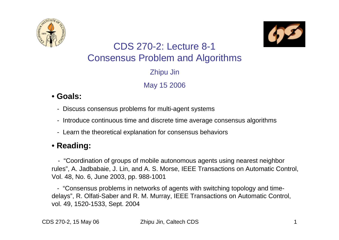



#### CDS 270-2: Lecture 8-1Consensus Problem and Algorithms Zhipu Jin May 15 2006

#### • **Goals:**

- Discuss consensus problems for multi-agent systems
- Introduce continuous time and discrete time average consensus algorithms
- Learn the theoretical explanation for consensus behaviors

#### • **Reading:**

- "Coordination of groups of mobile autonomous agents using nearest neighbor rules", A. Jadbabaie, J. Lin, and A. S. Mor se, IEEE Transactions on Automatic Control, Vol. 48, No. 6, June 2003, pp. 988-1001

- "Consensus problems in networks of agents with switching topology and timedelays", R. Olfati-Saber and R. M. Murray, IEEE Transactions on Automatic Control, vol. 49, 1520-1533, Sept. 2004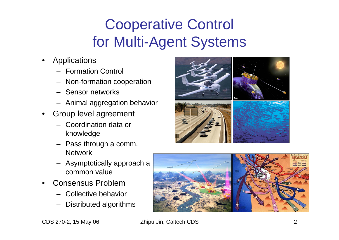# Cooperative Control for Multi-Agent Systems

- •Applications
	- –Formation Control
	- Non-formation cooperation
	- –Sensor networks
	- Animal aggregation behavior
- •Group lev el agreement
	- Coordination data or knowledge
	- –Pass through a comm. Network
	- Asymptotically approach a common value
- •Consensus Problem
	- Collective behavior
	- –Distributed algorithms



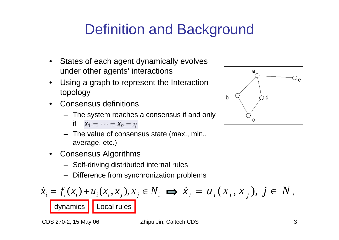# Definition and Background

- $\bullet$ States of each agent dynamically evolves under other agents' interactions
- $\bullet$ U sing a graph to represent the Interaction topology
- $\bullet$ Consensus definitions
	- The system reaches a consensus if and only

$$
\mathsf{if} \quad \mathsf{x}_1 = \cdots = \mathsf{x}_n = \eta
$$

- –The value of consensus state (max., min., average, etc.)
- $\bullet$ Consensus Algorithms
	- Self-driving distributed internal rules
	- Difference from synchronization problems

$$
\dot{x}_i = f_i(x_i) + u_i(x_i, x_j), x_j \in N_i \implies \dot{x}_i = u_i(x_i, x_j), \ j \in N_i
$$
  
dynamics  
Local rules



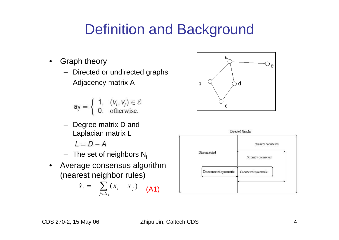### Definition and Background

- •Graph theory
	- Directed or undirected graphs
	- Adjacency matrix A

$$
a_{ij} = \left\{ \begin{array}{ll} 1, & (v_i,v_j) \in \mathcal{E} \\ 0, & \text{otherwise.} \end{array} \right.
$$

- –Degree matrix D and Laplacian matrix L
	- $L = D A$
- The set of neighbors N<sub>i</sub>
- $\bullet$ Average consensus algorithm (nearest neighbor rules)

$$
\dot{x}_i = -\sum_{j \in N_i} (x_i - x_j) \quad \text{(A1)}
$$



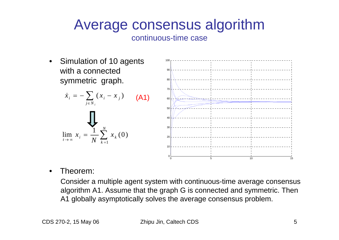#### Average consensus algorithm

continuous-time case

 $\bullet$ Simulation of 10 agents with a connected symmetric graph.

$$
\dot{x}_i = -\sum_{j \in N_i} (x_i - x_j) \quad \text{(A1)}
$$
\n
$$
\prod_{t \to \infty} x_i = \frac{1}{N} \sum_{k=1}^N x_k(0)
$$

*k*

1



•Theorem:

=

*x*

 $\lim_{t\to\infty} x_i = \frac{1}{N} \sum_{k=1}^N x_k$ 

Consider a multiple agent system with continuous-time average consensus algorithm A1. Assume that the graph G is connected and symmetric. Then A1 globally asymptotically solves the average consensus problem.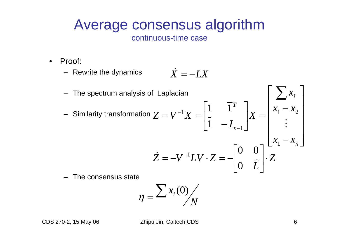#### Average consensus algorithm

continuous-time case

- $\bullet$ Proof:
	- Rewrite the dynamics  $\dot{X} = -LX$
	- The spectrum analysis of Laplacian – Similarity transformation ⎥ ⎥ ⎥ ⎥  $\overline{\phantom{a}}$  $\overline{\phantom{a}}$  $\Box$  $\overline{\phantom{a}}$  $\overline{\phantom{a}}$ −  $X=\begin{bmatrix} x_1 \end{bmatrix}$  $\overline{\phantom{a}}$  $\begin{bmatrix} 1 & \overline{1}^T \\ \frac{1}{2} & \overline{1} \end{bmatrix}$  $\overline{\mathsf{L}}$  $\begin{bmatrix} \phantom{-}\end{bmatrix}$ −  $=$   $V$   $\Lambda$   $=$ ∑ − − *n i n T*  $x_{1}-x$  $x_{1}-x$ *x*  $I_{r-1}$ <sup>X</sup>  $Z = V^{-1}X$ 1  $\mathcal{L}_1$   $\mathcal{L}_2$ 1  $\cdot$ 1 1 1  $\ddot{\cdot}$  $\widehat{L}$ <sup> $\mid$ </sup>  $\cdot$   $Z$  $Z = -V^{-1}LV \cdot Z = -\frac{1}{\Omega}$  $\overline{\phantom{a}}$  $\begin{bmatrix} 0 & 0 \\ 0 & \hat{I} \end{bmatrix}$  $\overline{\phantom{a}}$  $\overline{\phantom{a}}$  $=-V$   $LV \cdot L = \dot{Z} = -V^{-1}LV \cdot Z = -\begin{bmatrix} 0 & 0 \\ 0 & 0 \end{bmatrix}$  $\rm 0$  $\frac{1}{1}$

– The consensus state

$$
\eta = \frac{\sum x_i(0)}{N}
$$

CDS 270-2, 15 May 06 Zhipu Jin, Caltech CDS 6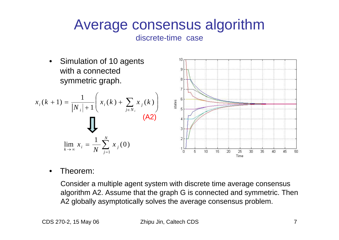# Average consensus algorithm

discrete-time case



•Theorem:

> Consider a multiple agent system with discrete time average consensus algorithm A2. Assume that the graph G is connected and symmetric. Then A2 globally asymptotically solves the average consensus problem.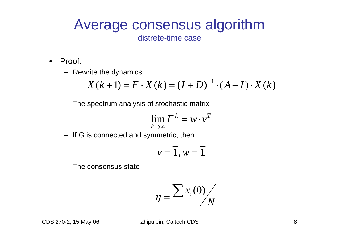#### Average consensus algorithm distrete-time case

- $\bullet$ Proof:
	- Rewrite the dynamics

$$
X(k+1) = F \cdot X(k) = (I + D)^{-1} \cdot (A + I) \cdot X(k)
$$

– The spectrum analysis of stochastic matrix

$$
\lim_{k\to\infty} F^k = w \cdot v^T
$$

– If G is connected and symmetric, then

$$
v=\overline{1},w=\overline{1}
$$

 $-$  The consensus state

$$
\eta = \frac{\sum x_i(0)}{N}
$$

CDS 270-2, 15 May 06 Zhipu Jin, Caltech CDS 8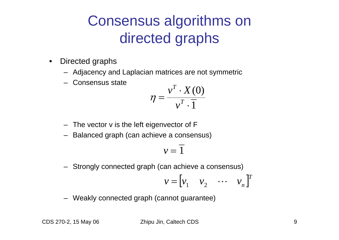## Consensus algorithms on directed graphs

- $\bullet$ Directed graphs
	- Adjacency and Laplacian matrices are not symmetric
	- –Consensus state

$$
\eta = \frac{v^T \cdot X(0)}{v^T \cdot 1}
$$

- The vector v is the left eigenvector of F
- –Balanced graph (can achieve a consensus)

$$
v=\overline{1}
$$

– Strongly connected graph (can achieve a consensus)

$$
\mathbf{v} = \begin{bmatrix} v_1 & v_2 & \cdots & v_n \end{bmatrix}^T
$$

– Weakly connected graph (cannot guarantee)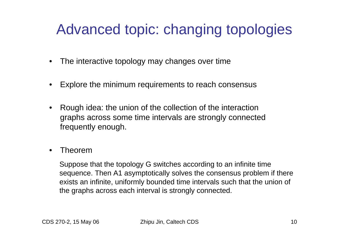### Advanced topic: changing topologies

- •The interactive topology may changes over time
- $\bullet$ Explore the minimum requirements to reach consensus
- $\bullet$ Rough idea: the union of the collection of the interaction graphs across some time intervals are strongly connected frequently enough.
- •Theorem

Suppose that the topology G switches according to an infinite time sequence. Then A1 asymptotically solves the consensus problem if there exists an infinite, uniformly bounded time intervals such that the union of the graphs across each interval is strongly connected.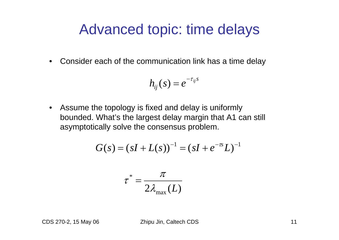#### Advanced topic: time delays

 $\bullet$ Consider each of the communication link has a time delay

$$
h_{ij}(s) = e^{-\tau_{ij}s}
$$

 $\bullet$ Assume the topology is fixed and delay is uniformly bounded. What's the largest delay margin that A1 can still asymptotically solve the consensus problem.

$$
G(s) = (sI + L(s))^{-1} = (sI + e^{-\tau s}L)^{-1}
$$

$$
\tau^* = \frac{\pi}{2\lambda_{\max}(L)}
$$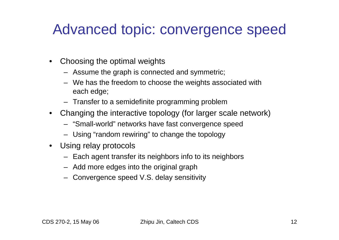#### Advanced topic: convergence speed

- $\bullet$ Choosing the optimal weights
	- Assume the graph is connected and symmetric;
	- We has the freedom to choose the weights associated with each edge;
	- Transfer to a semidefinite programming problem
- Changing the interactive topology (for larger scale network)
	- "Small-world" networks have fast convergence speed
	- Using "random rewiring" to change the topology
- $\bullet$ U sing relay protocols
	- Each agent transfer its neighbors info to its neighbors
	- Add more edges into the original graph
	- Convergence speed V.S. delay sensitivity